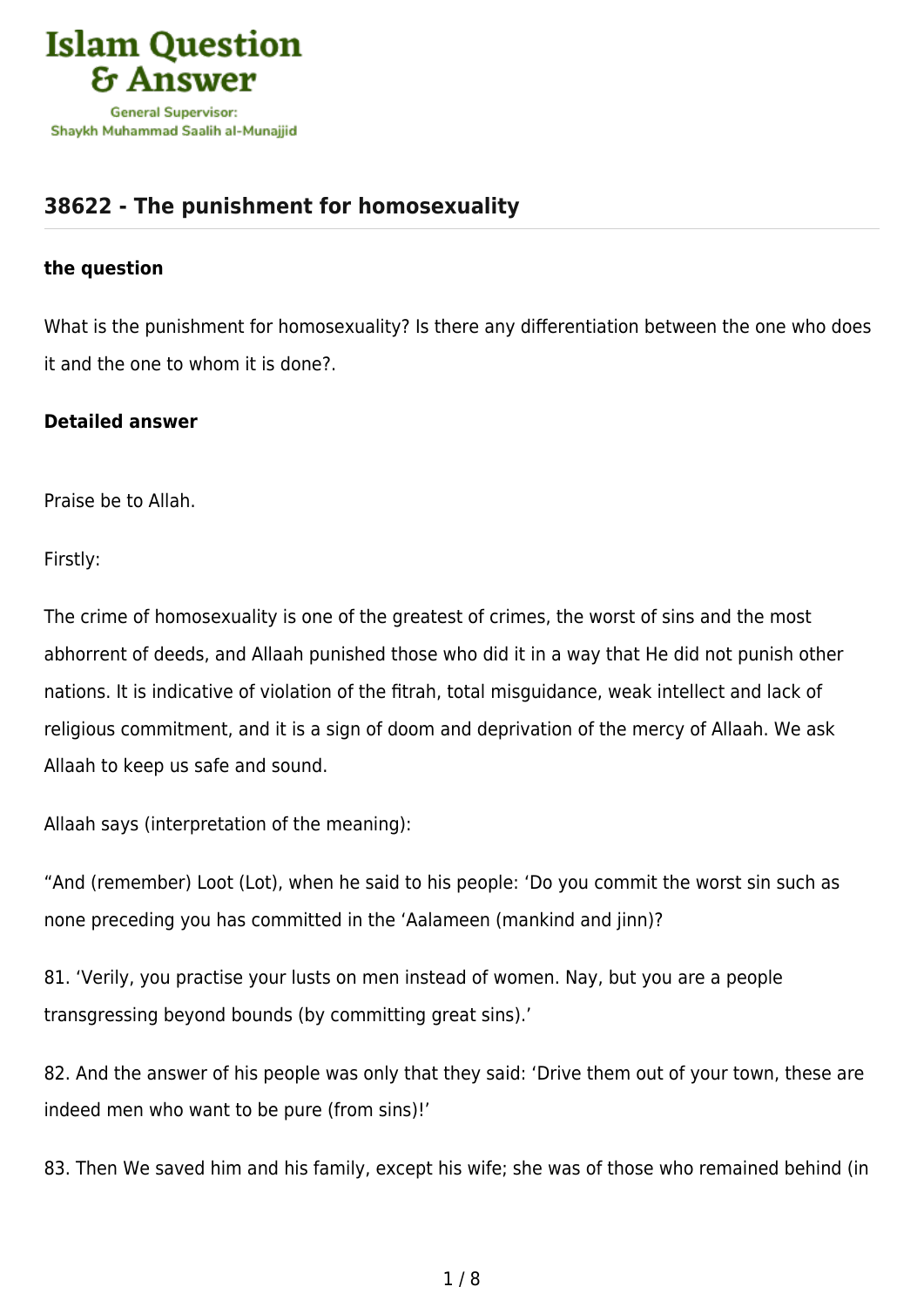

## **[38622 - The punishment for homosexuality](https://islamqa.com/en/answers/38622/the-punishment-for-homosexuality)**

## **the question**

What is the punishment for homosexuality? Is there any differentiation between the one who does it and the one to whom it is done?.

## **Detailed answer**

Praise be to Allah.

Firstly:

The crime of homosexuality is one of the greatest of crimes, the worst of sins and the most abhorrent of deeds, and Allaah punished those who did it in a way that He did not punish other nations. It is indicative of violation of the fitrah, total misguidance, weak intellect and lack of religious commitment, and it is a sign of doom and deprivation of the mercy of Allaah. We ask Allaah to keep us safe and sound.

Allaah says (interpretation of the meaning):

"And (remember) Loot (Lot), when he said to his people: 'Do you commit the worst sin such as none preceding you has committed in the 'Aalameen (mankind and jinn)?

81. 'Verily, you practise your lusts on men instead of women. Nay, but you are a people transgressing beyond bounds (by committing great sins).'

82. And the answer of his people was only that they said: 'Drive them out of your town, these are indeed men who want to be pure (from sins)!'

83. Then We saved him and his family, except his wife; she was of those who remained behind (in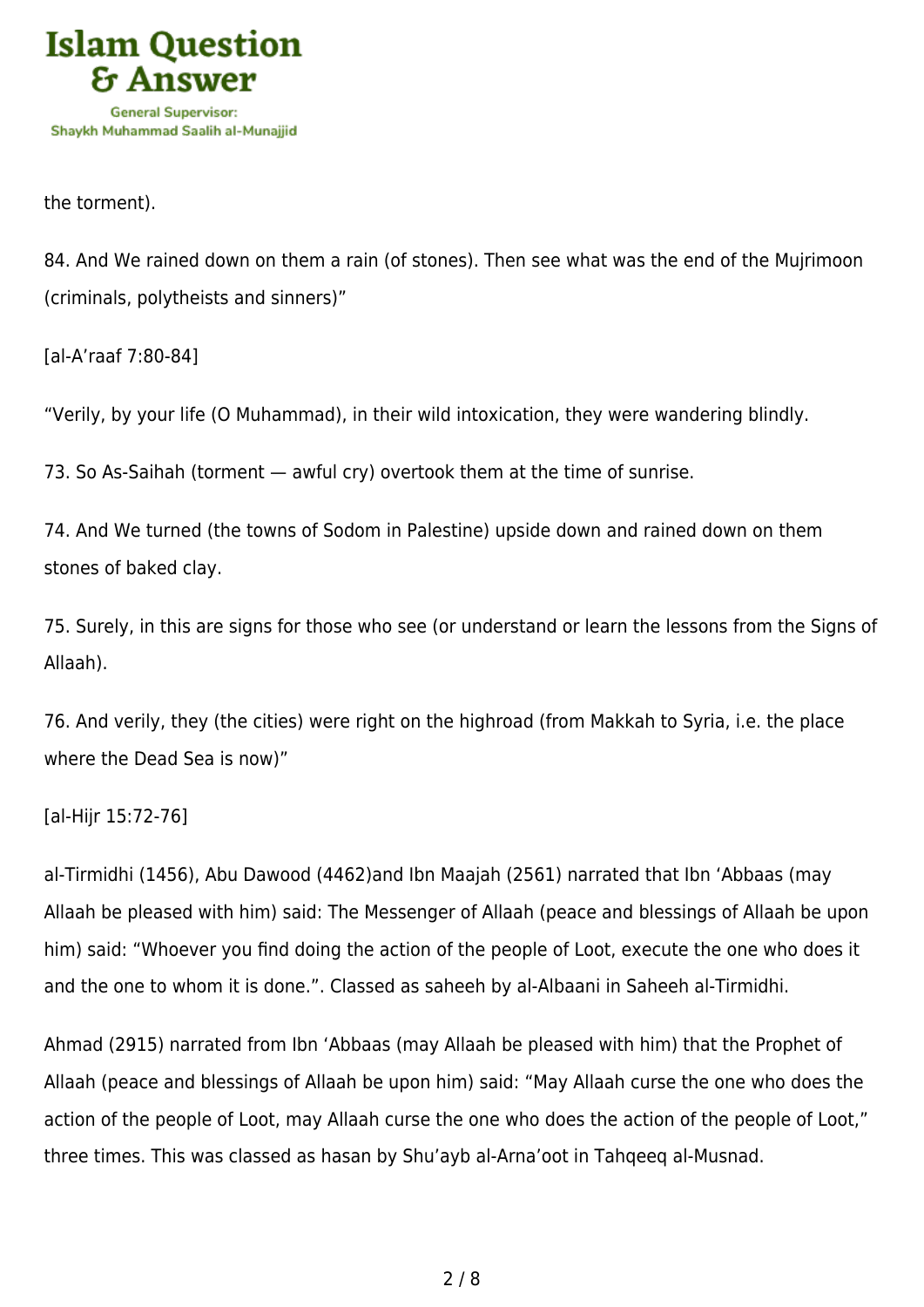

the torment).

84. And We rained down on them a rain (of stones). Then see what was the end of the Mujrimoon (criminals, polytheists and sinners)"

[al-A'raaf 7:80-84]

"Verily, by your life (O Muhammad), in their wild intoxication, they were wandering blindly.

73. So As-Saihah (torment — awful cry) overtook them at the time of sunrise.

74. And We turned (the towns of Sodom in Palestine) upside down and rained down on them stones of baked clay.

75. Surely, in this are signs for those who see (or understand or learn the lessons from the Signs of Allaah).

76. And verily, they (the cities) were right on the highroad (from Makkah to Syria, i.e. the place where the Dead Sea is now)"

[al-Hijr 15:72-76]

al-Tirmidhi (1456), Abu Dawood (4462)and Ibn Maajah (2561) narrated that Ibn 'Abbaas (may Allaah be pleased with him) said: The Messenger of Allaah (peace and blessings of Allaah be upon him) said: "Whoever you find doing the action of the people of Loot, execute the one who does it and the one to whom it is done.". Classed as saheeh by al-Albaani in Saheeh al-Tirmidhi.

Ahmad (2915) narrated from Ibn 'Abbaas (may Allaah be pleased with him) that the Prophet of Allaah (peace and blessings of Allaah be upon him) said: "May Allaah curse the one who does the action of the people of Loot, may Allaah curse the one who does the action of the people of Loot," three times. This was classed as hasan by Shu'ayb al-Arna'oot in Tahqeeq al-Musnad.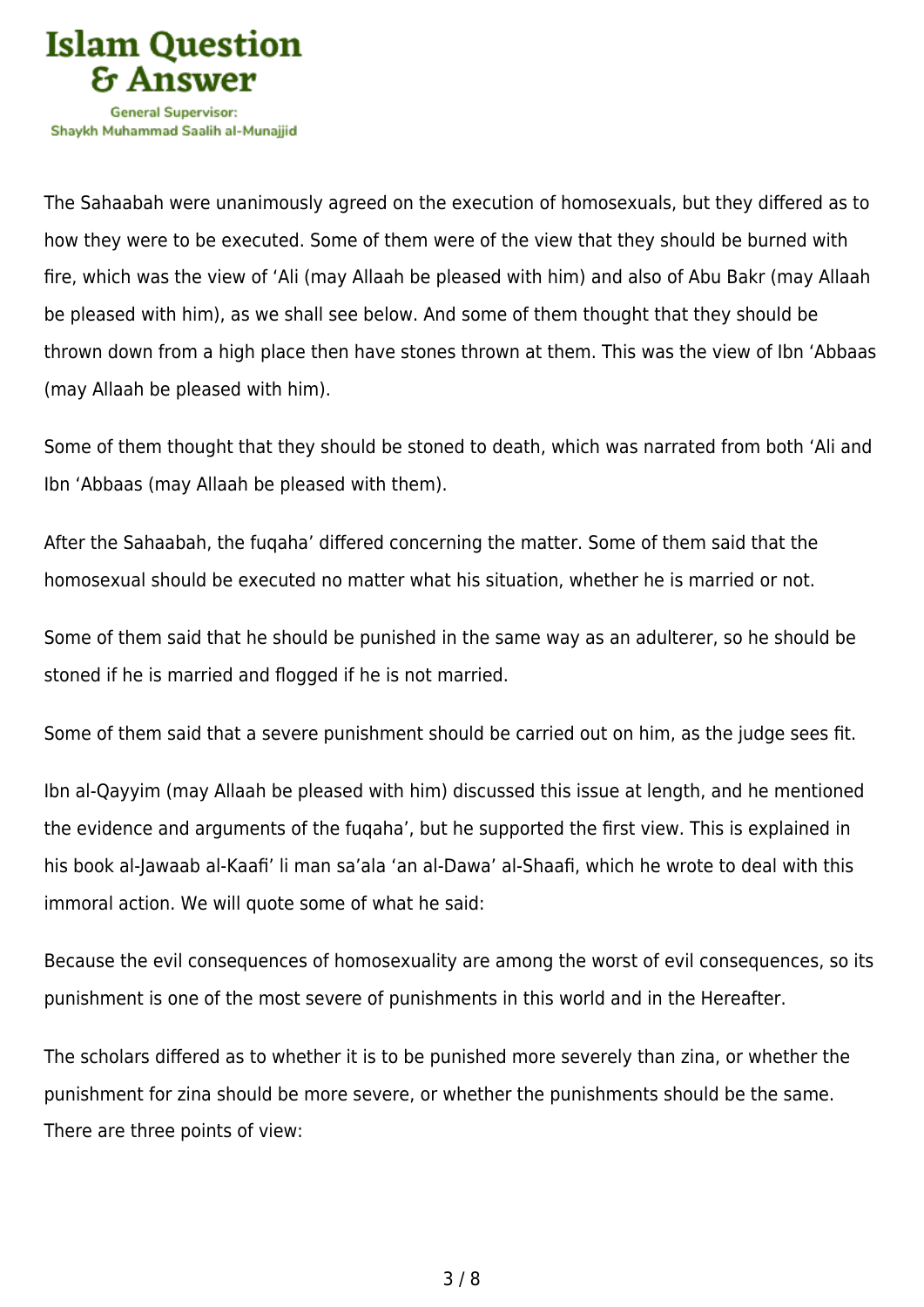

The Sahaabah were unanimously agreed on the execution of homosexuals, but they differed as to how they were to be executed. Some of them were of the view that they should be burned with fire, which was the view of 'Ali (may Allaah be pleased with him) and also of Abu Bakr (may Allaah be pleased with him), as we shall see below. And some of them thought that they should be thrown down from a high place then have stones thrown at them. This was the view of Ibn 'Abbaas (may Allaah be pleased with him).

Some of them thought that they should be stoned to death, which was narrated from both 'Ali and Ibn 'Abbaas (may Allaah be pleased with them).

After the Sahaabah, the fuqaha' differed concerning the matter. Some of them said that the homosexual should be executed no matter what his situation, whether he is married or not.

Some of them said that he should be punished in the same way as an adulterer, so he should be stoned if he is married and flogged if he is not married.

Some of them said that a severe punishment should be carried out on him, as the judge sees fit.

Ibn al-Qayyim (may Allaah be pleased with him) discussed this issue at length, and he mentioned the evidence and arguments of the fuqaha', but he supported the first view. This is explained in his book al-Jawaab al-Kaafi' li man sa'ala 'an al-Dawa' al-Shaafi, which he wrote to deal with this immoral action. We will quote some of what he said:

Because the evil consequences of homosexuality are among the worst of evil consequences, so its punishment is one of the most severe of punishments in this world and in the Hereafter.

The scholars differed as to whether it is to be punished more severely than zina, or whether the punishment for zina should be more severe, or whether the punishments should be the same. There are three points of view: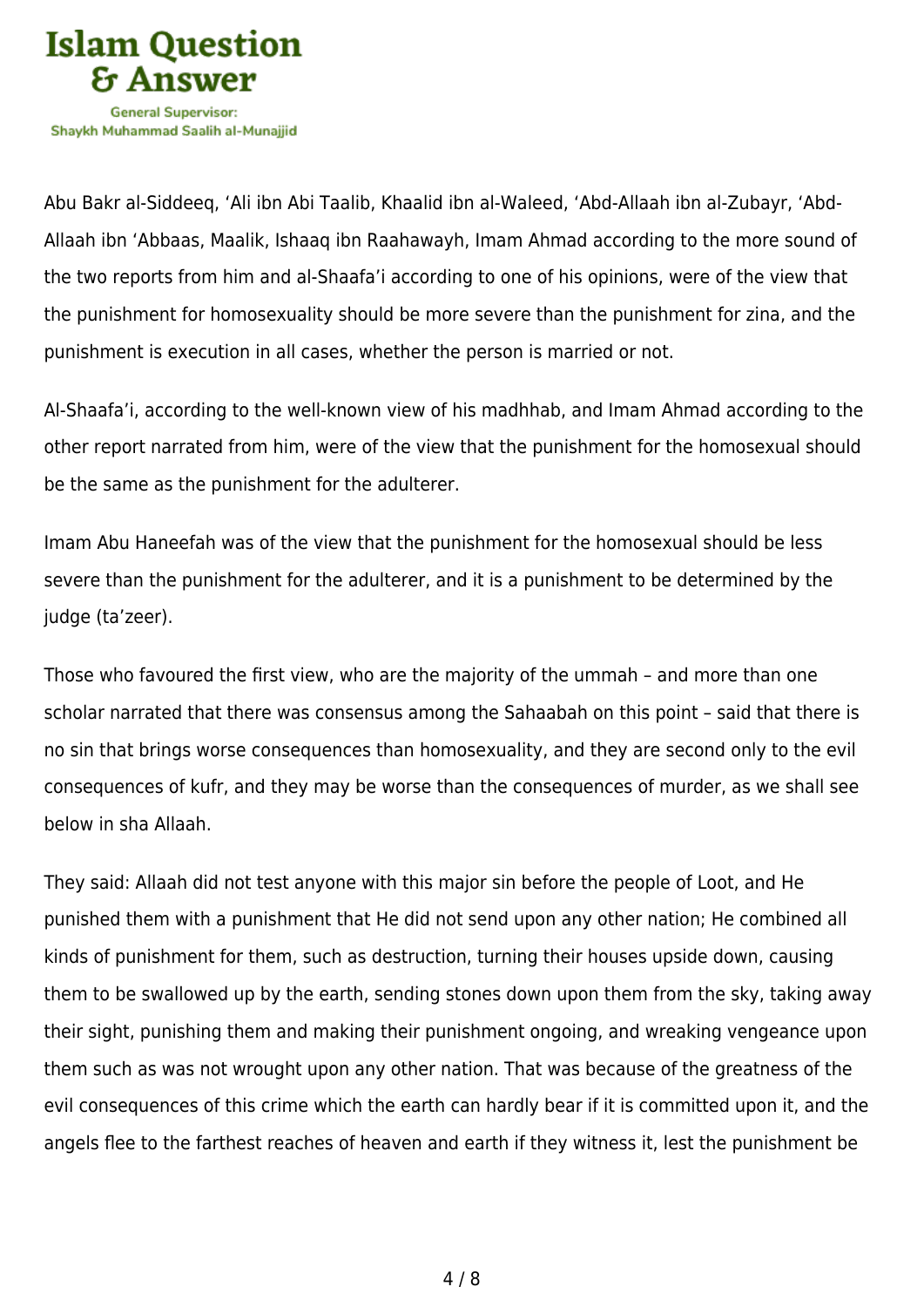

Abu Bakr al-Siddeeq, 'Ali ibn Abi Taalib, Khaalid ibn al-Waleed, 'Abd-Allaah ibn al-Zubayr, 'Abd-Allaah ibn 'Abbaas, Maalik, Ishaaq ibn Raahawayh, Imam Ahmad according to the more sound of the two reports from him and al-Shaafa'i according to one of his opinions, were of the view that the punishment for homosexuality should be more severe than the punishment for zina, and the punishment is execution in all cases, whether the person is married or not.

Al-Shaafa'i, according to the well-known view of his madhhab, and Imam Ahmad according to the other report narrated from him, were of the view that the punishment for the homosexual should be the same as the punishment for the adulterer.

Imam Abu Haneefah was of the view that the punishment for the homosexual should be less severe than the punishment for the adulterer, and it is a punishment to be determined by the judge (ta'zeer).

Those who favoured the first view, who are the majority of the ummah – and more than one scholar narrated that there was consensus among the Sahaabah on this point – said that there is no sin that brings worse consequences than homosexuality, and they are second only to the evil consequences of kufr, and they may be worse than the consequences of murder, as we shall see below in sha Allaah.

They said: Allaah did not test anyone with this major sin before the people of Loot, and He punished them with a punishment that He did not send upon any other nation; He combined all kinds of punishment for them, such as destruction, turning their houses upside down, causing them to be swallowed up by the earth, sending stones down upon them from the sky, taking away their sight, punishing them and making their punishment ongoing, and wreaking vengeance upon them such as was not wrought upon any other nation. That was because of the greatness of the evil consequences of this crime which the earth can hardly bear if it is committed upon it, and the angels flee to the farthest reaches of heaven and earth if they witness it, lest the punishment be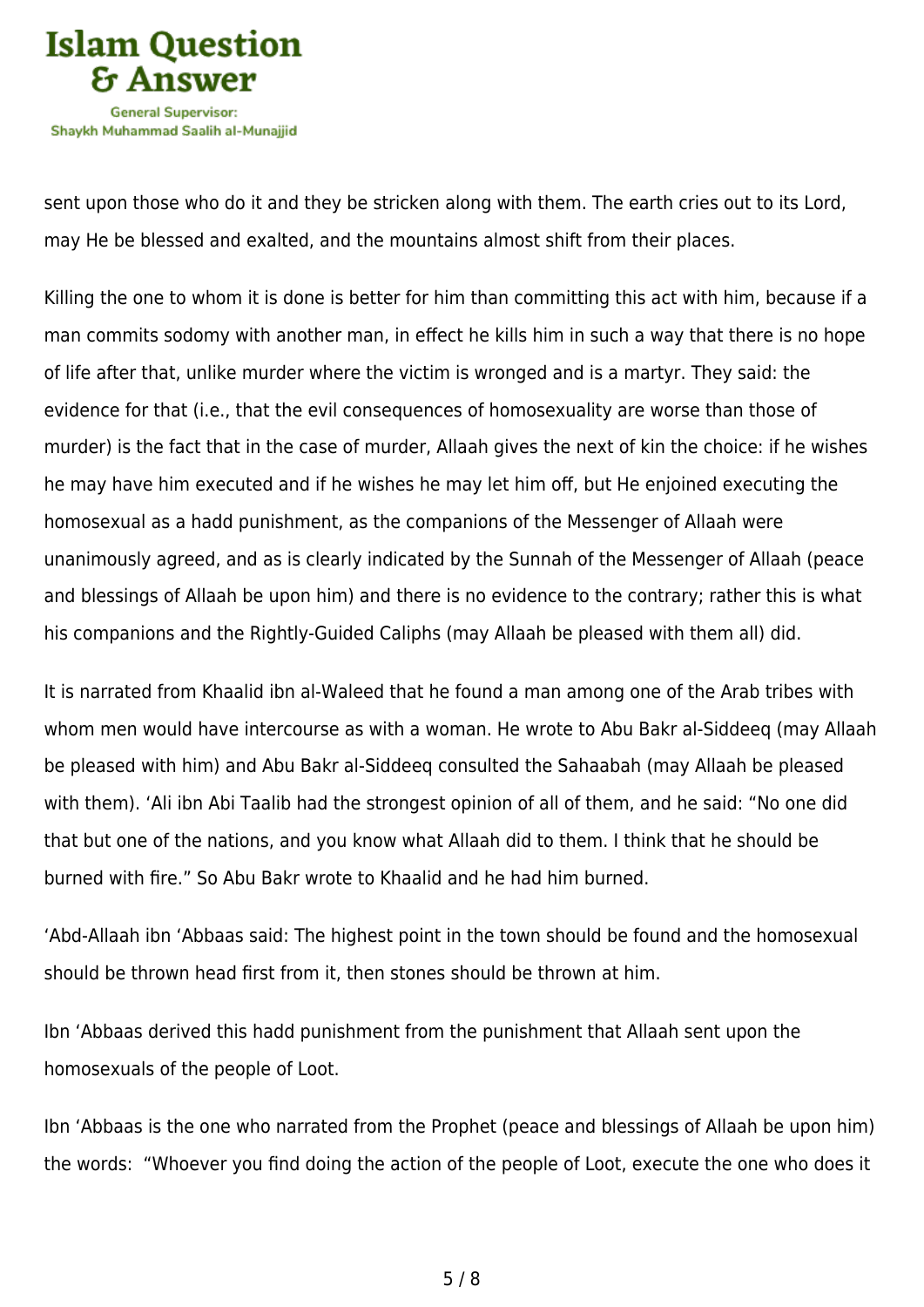

sent upon those who do it and they be stricken along with them. The earth cries out to its Lord, may He be blessed and exalted, and the mountains almost shift from their places.

Killing the one to whom it is done is better for him than committing this act with him, because if a man commits sodomy with another man, in effect he kills him in such a way that there is no hope of life after that, unlike murder where the victim is wronged and is a martyr. They said: the evidence for that (i.e., that the evil consequences of homosexuality are worse than those of murder) is the fact that in the case of murder, Allaah gives the next of kin the choice: if he wishes he may have him executed and if he wishes he may let him off, but He enjoined executing the homosexual as a hadd punishment, as the companions of the Messenger of Allaah were unanimously agreed, and as is clearly indicated by the Sunnah of the Messenger of Allaah (peace and blessings of Allaah be upon him) and there is no evidence to the contrary; rather this is what his companions and the Rightly-Guided Caliphs (may Allaah be pleased with them all) did.

It is narrated from Khaalid ibn al-Waleed that he found a man among one of the Arab tribes with whom men would have intercourse as with a woman. He wrote to Abu Bakr al-Siddeeq (may Allaah be pleased with him) and Abu Bakr al-Siddeeq consulted the Sahaabah (may Allaah be pleased with them). 'Ali ibn Abi Taalib had the strongest opinion of all of them, and he said: "No one did that but one of the nations, and you know what Allaah did to them. I think that he should be burned with fire." So Abu Bakr wrote to Khaalid and he had him burned.

'Abd-Allaah ibn 'Abbaas said: The highest point in the town should be found and the homosexual should be thrown head first from it, then stones should be thrown at him.

Ibn 'Abbaas derived this hadd punishment from the punishment that Allaah sent upon the homosexuals of the people of Loot.

Ibn 'Abbaas is the one who narrated from the Prophet (peace and blessings of Allaah be upon him) the words: "Whoever you find doing the action of the people of Loot, execute the one who does it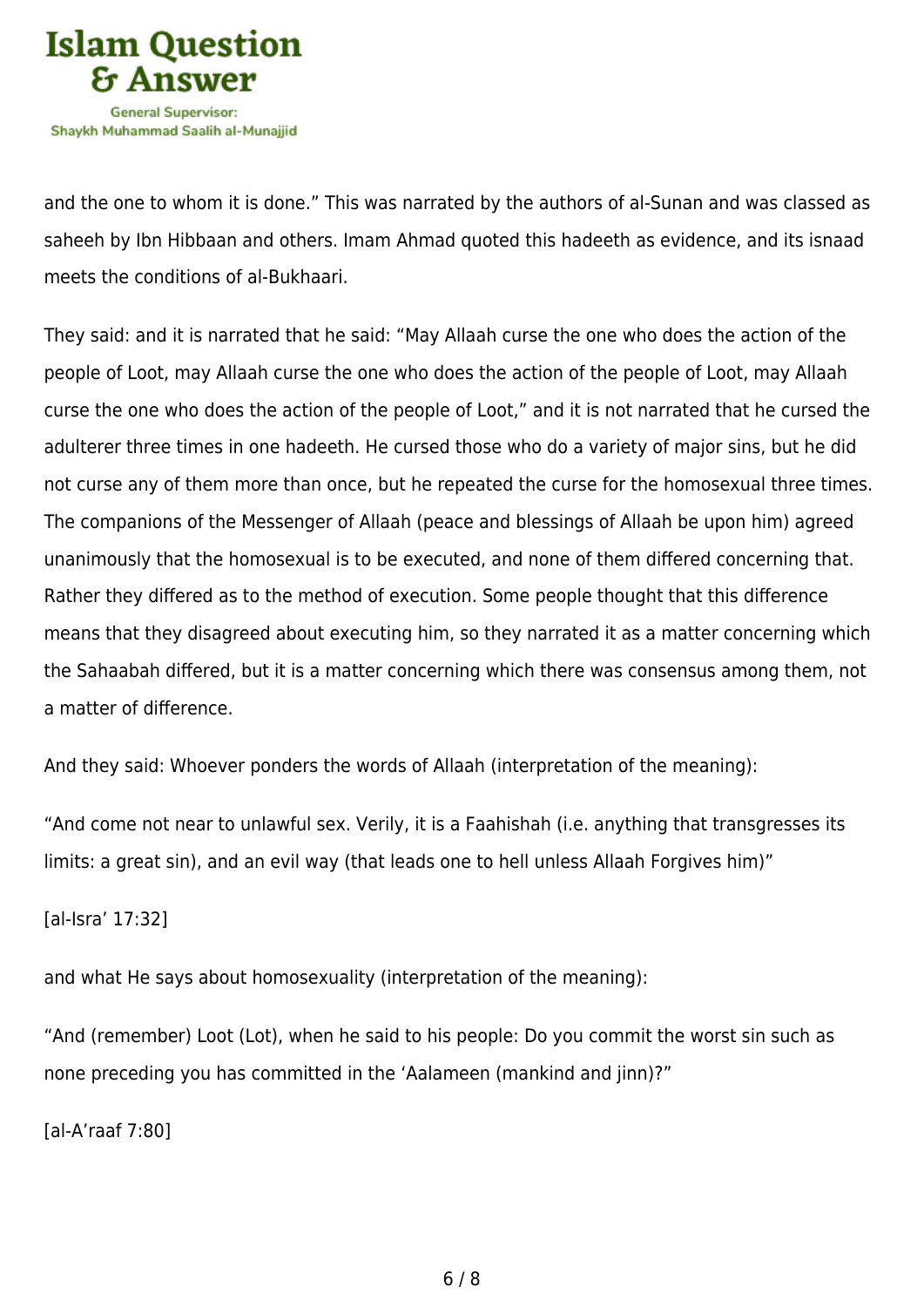

and the one to whom it is done." This was narrated by the authors of al-Sunan and was classed as saheeh by Ibn Hibbaan and others. Imam Ahmad quoted this hadeeth as evidence, and its isnaad meets the conditions of al-Bukhaari.

They said: and it is narrated that he said: "May Allaah curse the one who does the action of the people of Loot, may Allaah curse the one who does the action of the people of Loot, may Allaah curse the one who does the action of the people of Loot," and it is not narrated that he cursed the adulterer three times in one hadeeth. He cursed those who do a variety of major sins, but he did not curse any of them more than once, but he repeated the curse for the homosexual three times. The companions of the Messenger of Allaah (peace and blessings of Allaah be upon him) agreed unanimously that the homosexual is to be executed, and none of them differed concerning that. Rather they differed as to the method of execution. Some people thought that this difference means that they disagreed about executing him, so they narrated it as a matter concerning which the Sahaabah differed, but it is a matter concerning which there was consensus among them, not a matter of difference.

And they said: Whoever ponders the words of Allaah (interpretation of the meaning):

"And come not near to unlawful sex. Verily, it is a Faahishah (i.e. anything that transgresses its limits: a great sin), and an evil way (that leads one to hell unless Allaah Forgives him)"

[al-Isra' 17:32]

and what He says about homosexuality (interpretation of the meaning):

"And (remember) Loot (Lot), when he said to his people: Do you commit the worst sin such as none preceding you has committed in the 'Aalameen (mankind and jinn)?"

[al-A'raaf 7:80]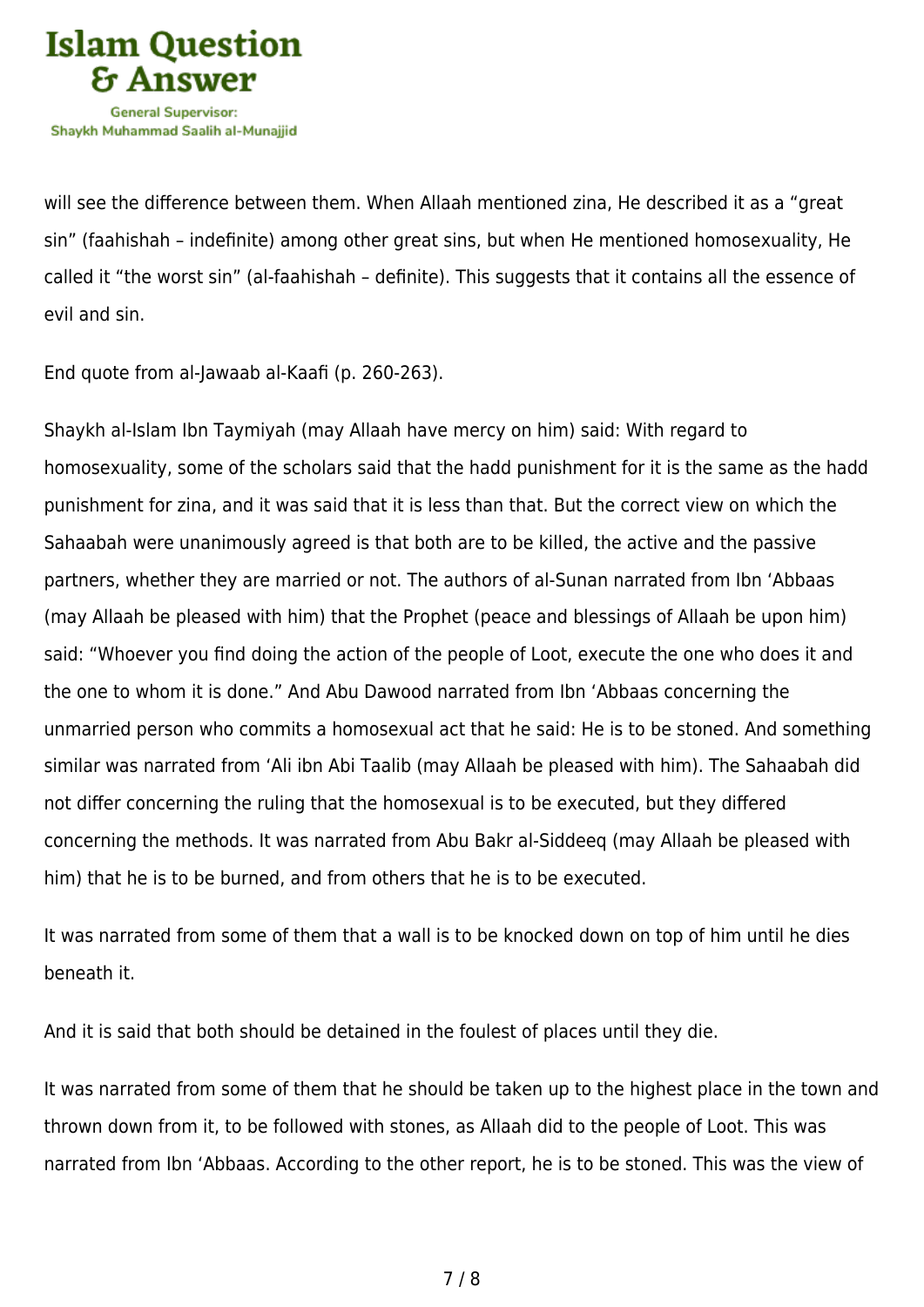

will see the difference between them. When Allaah mentioned zina, He described it as a "great sin" (faahishah – indefinite) among other great sins, but when He mentioned homosexuality, He called it "the worst sin" (al-faahishah – definite). This suggests that it contains all the essence of evil and sin.

End quote from al-Jawaab al-Kaafi (p. 260-263).

Shaykh al-Islam Ibn Taymiyah (may Allaah have mercy on him) said: With regard to homosexuality, some of the scholars said that the hadd punishment for it is the same as the hadd punishment for zina, and it was said that it is less than that. But the correct view on which the Sahaabah were unanimously agreed is that both are to be killed, the active and the passive partners, whether they are married or not. The authors of al-Sunan narrated from Ibn 'Abbaas (may Allaah be pleased with him) that the Prophet (peace and blessings of Allaah be upon him) said: "Whoever you find doing the action of the people of Loot, execute the one who does it and the one to whom it is done." And Abu Dawood narrated from Ibn 'Abbaas concerning the unmarried person who commits a homosexual act that he said: He is to be stoned. And something similar was narrated from 'Ali ibn Abi Taalib (may Allaah be pleased with him). The Sahaabah did not differ concerning the ruling that the homosexual is to be executed, but they differed concerning the methods. It was narrated from Abu Bakr al-Siddeeq (may Allaah be pleased with him) that he is to be burned, and from others that he is to be executed.

It was narrated from some of them that a wall is to be knocked down on top of him until he dies beneath it.

And it is said that both should be detained in the foulest of places until they die.

It was narrated from some of them that he should be taken up to the highest place in the town and thrown down from it, to be followed with stones, as Allaah did to the people of Loot. This was narrated from Ibn 'Abbaas. According to the other report, he is to be stoned. This was the view of